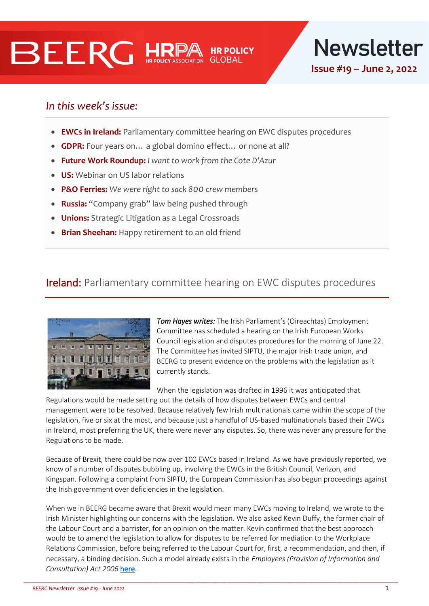# **BEERG HR**



# In this week's issue:

- **EWCs in Ireland:** Parliamentary committee hearing on EWC disputes procedures
- **GDPR:** Four years on… a global domino effect… or none at all?
- **Future Work Roundup:** *I want to work from the Cote D'Azur*
- **US:** Webinar on US labor relations
- **P&O Ferries:** *We were right to sack 800 crew members*
- **Russia:** "Company grab" law being pushed through
- **Unions:** Strategic Litigation as a Legal Crossroads
- **Brian Sheehan:** Happy retirement to an old friend

# Ireland: Parliamentary committee hearing on EWC disputes procedures



*Tom Hayes writes:* The Irish Parliament's (Oireachtas) Employment Committee has scheduled a hearing on the Irish European Works Council legislation and disputes procedures for the morning of June 22. The Committee has invited SIPTU, the major Irish trade union, and BEERG to present evidence on the problems with the legislation as it currently stands.

When the legislation was drafted in 1996 it was anticipated that

Regulations would be made setting out the details of how disputes between EWCs and central management were to be resolved. Because relatively few Irish multinationals came within the scope of the legislation, five or six at the most, and because just a handful of US-based multinationals based their EWCs in Ireland, most preferring the UK, there were never any disputes. So, there was never any pressure for the Regulations to be made.

Because of Brexit, there could be now over 100 EWCs based in Ireland. As we have previously reported, we know of a number of disputes bubbling up, involving the EWCs in the British Council, Verizon, and Kingspan. Following a complaint from SIPTU, the European Commission has also begun proceedings against the Irish government over deficiencies in the legislation.

When we in BEERG became aware that Brexit would mean many EWCs moving to Ireland, we wrote to the Irish Minister highlighting our concerns with the legislation. We also asked Kevin Duffy, the former chair of the Labour Court and a barrister, for an opinion on the matter. Kevin confirmed that the best approach would be to amend the legislation to allow for disputes to be referred for mediation to the Workplace Relations Commission, before being referred to the Labour Court for, first, a recommendation, and then, if necessary, a binding decision. Such a model already exists in the *Employees (Provision of Information and Consultation) Act 2006* [here.](https://www.irishstatutebook.ie/eli/2006/act/9/section/15/enacted/en/html#sec15)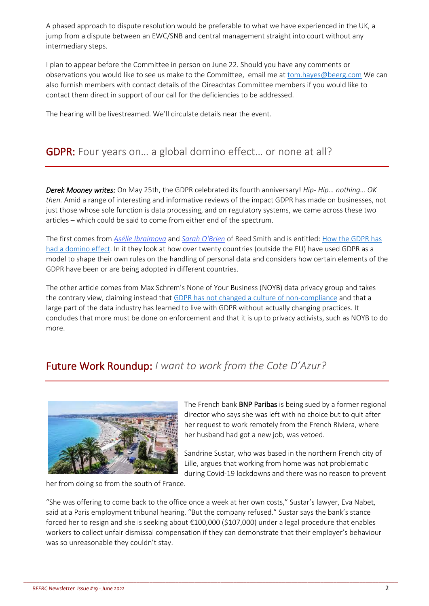A phased approach to dispute resolution would be preferable to what we have experienced in the UK, a jump from a dispute between an EWC/SNB and central management straight into court without any intermediary steps.

I plan to appear before the Committee in person on June 22. Should you have any comments or observations you would like to see us make to the Committee, email me a[t tom.hayes@beerg.com](mailto:tom.hayes@beerg.com) We can also furnish members with contact details of the Oireachtas Committee members if you would like to contact them direct in support of our call for the deficiencies to be addressed.

The hearing will be livestreamed. We'll circulate details near the event.

# **GDPR:** Four years on... a global domino effect... or none at all?

*Derek Mooney writes:* On May 25th, the GDPR celebrated its fourth anniversary! *Hip- Hip… nothing… OK then.* Amid a range of interesting and informative reviews of the impact GDPR has made on businesses, not just those whose sole function is data processing, and on regulatory systems, we came across these two articles – which could be said to come from either end of the spectrum.

The first comes from *Asélle [Ibraimova](https://www.reedsmith.com/en/professionals/i/ibraimova-aselle)* and *Sarah [O'Brien](https://www.reedsmith.com/en/professionals/o/obrien-sarah)* of Reed Smith and is entitled: [How the GDPR has](https://www.technologylawdispatch.com/2022/05/privacy-data-protection/the-fourth-anniversary-of-the-gdpr-how-the-gdpr-has-had-a-domino-effect/#page=1)  [had a domino effect.](https://www.technologylawdispatch.com/2022/05/privacy-data-protection/the-fourth-anniversary-of-the-gdpr-how-the-gdpr-has-had-a-domino-effect/#page=1) In it they look at how over twenty countries (outside the EU) have used GDPR as a model to shape their own rules on the handling of personal data and considers how certain elements of the GDPR have been or are being adopted in different countries.

The other article comes from Max Schrem's None of Your Business (NOYB) data privacy group and takes the contrary view, claiming instead that [GDPR has not changed a culture of non-compliance](https://noyb.eu/en/statement-4-years-gdpr?mtc=mu) and that a large part of the data industry has learned to live with GDPR without actually changing practices. It concludes that more must be done on enforcement and that it is up to privacy activists, such as NOYB to do more.

# Future Work Roundup: *I want to work from the Cote D'Azur?*



The French bank BNP Paribas is being sued by a former regional director who says she was left with no choice but to quit after her request to work remotely from the French Riviera, where her husband had got a new job, was vetoed.

Sandrine Sustar, who was based in the northern French city of Lille, argues that working from home was not problematic during Covid-19 lockdowns and there was no reason to prevent

her from doing so from the south of France.

"She was offering to come back to the office once a week at her own costs," Sustar's lawyer, Eva Nabet, said at a Paris employment tribunal hearing. "But the company refused." Sustar says the bank's stance forced her to resign and she is seeking about €100,000 (\$107,000) under a legal procedure that enables workers to collect unfair dismissal compensation if they can demonstrate that their employer's behaviour was so unreasonable they couldn't stay.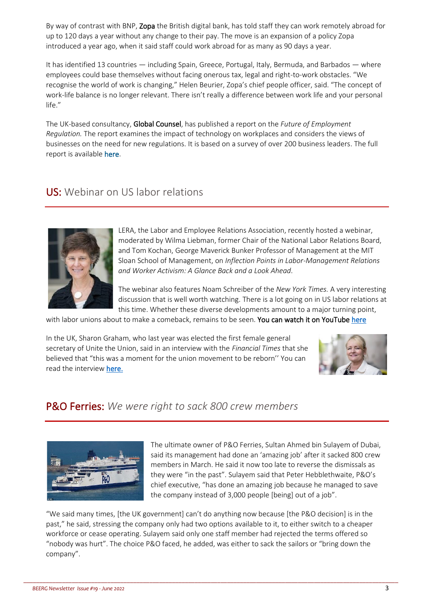By way of contrast with BNP, Zopa the British digital bank, has told staff they can work remotely abroad for up to 120 days a year without any change to their pay. The move is an expansion of a policy Zopa introduced a year ago, when it said staff could work abroad for as many as 90 days a year.

It has identified 13 countries — including Spain, Greece, Portugal, Italy, Bermuda, and Barbados — where employees could base themselves without facing onerous tax, legal and right-to-work obstacles. "We recognise the world of work is changing," Helen Beurier, Zopa's chief people officer, said. "The concept of work-life balance is no longer relevant. There isn't really a difference between work life and your personal life."

The UK-based consultancy, Global Counsel, has published a report on the *Future of Employment Regulation.* The report examines the impact of technology on workplaces and considers the views of businesses on the need for new regulations. It is based on a survey of over 200 business leaders[. The full](https://email.global-counsel.com/e3t/Ctc/OP+113/cK8DQ04/VWMf9C19S8gmVWLKWQ2-ZFJdV7Wb0N4KzSvbN5ZDtSZ5nCT_V3Zsc37CgLwMW3q-xJK3HlPZ7W2kCljw814DctW79tmm77PMWtnW96-x063py5X2W73L7yG3k4nrBW7yzqjm3JRQW0W6LkNZV8G2-XlW49hyfB6ckFZwW7xlqqx83kM2kW7KbqWB7hl38JW7jyKQW7-hg8FW6jCv5W4Z1VK5W7X4G755j1CVqW8n37Dw3NlwWBW5bVwrJ1dDL6_W2MLVYg24b6dpW6NVTql4l732YW9gG4p94F3YH3W80gvbB1zj3wRN4FFCGBZDjktW36TN7-4VHt0QVQ6lqP1PN2LqW5SWYsf12mSqDW943XqZ578BJVN6PNKjt9dcXLW9kGx-D6CwRkSW3d6Jk23vmYx8VPF7Rz5-Y4yrN2CDbKswkjD3W1VV8Z91J1Rl5W6yBbMF5LBy-ZW52MNc15W5KjXW5D1N7m31vz8xW5CqlQn8s2LFR32vM1)  [report is available here.](https://email.global-counsel.com/e3t/Ctc/OP+113/cK8DQ04/VWMf9C19S8gmVWLKWQ2-ZFJdV7Wb0N4KzSvbN5ZDtSZ5nCT_V3Zsc37CgLwMW3q-xJK3HlPZ7W2kCljw814DctW79tmm77PMWtnW96-x063py5X2W73L7yG3k4nrBW7yzqjm3JRQW0W6LkNZV8G2-XlW49hyfB6ckFZwW7xlqqx83kM2kW7KbqWB7hl38JW7jyKQW7-hg8FW6jCv5W4Z1VK5W7X4G755j1CVqW8n37Dw3NlwWBW5bVwrJ1dDL6_W2MLVYg24b6dpW6NVTql4l732YW9gG4p94F3YH3W80gvbB1zj3wRN4FFCGBZDjktW36TN7-4VHt0QVQ6lqP1PN2LqW5SWYsf12mSqDW943XqZ578BJVN6PNKjt9dcXLW9kGx-D6CwRkSW3d6Jk23vmYx8VPF7Rz5-Y4yrN2CDbKswkjD3W1VV8Z91J1Rl5W6yBbMF5LBy-ZW52MNc15W5KjXW5D1N7m31vz8xW5CqlQn8s2LFR32vM1)

# US: Webinar on US labor relations



LERA, the Labor and Employee Relations Association, recently hosted a webinar, moderated by Wilma Liebman, former Chair of the National Labor Relations Board, and Tom Kochan, George Maverick Bunker Professor of Management at the MIT Sloan School of Management, on *Inflection Points in Labor-Management Relations and Worker Activism: A Glance Back and a Look Ahead.* 

The webinar also features Noam Schreiber of the *New York Times.* A very interesting discussion that is well worth watching. There is a lot going on in US labor relations at this time. Whether these diverse developments amount to a major turning point,

with labor unions about to make a comeback, remains to be seen. You can watch it on YouTube here

In the UK, Sharon Graham, who last year was elected the first female general secretary of Unite the Union, said in an interview with the *Financial Times* that she believed that "this was a moment for the union movement to be reborn'' You can read the interview here.



# P&O Ferries: *We were right to sack 800 crew members*



The ultimate owner of P&O Ferries, Sultan Ahmed bin Sulayem of Dubai, said its management had done an 'amazing job' after it sacked 800 crew members in March. He said it now too late to reverse the dismissals as they were "in the past". Sulayem said that Peter Hebblethwaite, P&O's chief executive, "has done an amazing job because he managed to save the company instead of 3,000 people [being] out of a job".

"We said many times, [the UK government] can't do anything now because [the P&O decision] is in the past," he said, stressing the company only had two options available to it, to either switch to a cheaper workforce or cease operating. Sulayem said only one staff member had rejected the terms offered so "nobody was hurt". The choice P&O faced, he added, was either to sack the sailors or "bring down the company".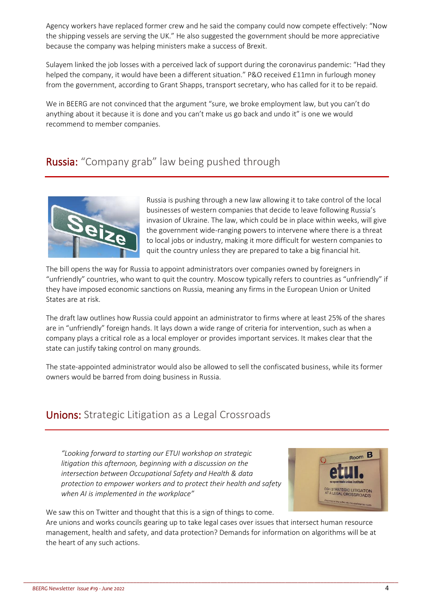Agency workers have replaced former crew and he said the company could now compete effectively: "Now the shipping vessels are serving the UK." He also suggested the government should be more appreciative because the company was helping ministers make a success of Brexit.

Sulayem linked the job losses with a perceived lack of support during the coronavirus pandemic: "Had they helped the company, it would have been a different situation." P&O received £11mn in furlough money from the government, according to Grant Shapps, transport secretary, who has called for it to be repaid.

We in BEERG are not convinced that the argument "sure, we broke employment law, but you can't do anything about it because it is done and you can't make us go back and undo it" is one we would recommend to member companies.

# Russia: "Company grab" law being pushed through



Russia is pushing through a new law allowing it to take control of the local businesses of western companies that decide to leave following Russia's invasion of Ukraine. The law, which could be in place within weeks, will give the government wide-ranging powers to intervene where there is a threat to local jobs or industry, making it more difficult for western companies to quit the country unless they are prepared to take a big financial hit.

The bill opens the way for Russia to appoint administrators over companies owned by foreigners in "unfriendly" countries, who want to quit the country. Moscow typically refers to countries as "unfriendly" if they have imposed economic sanctions on Russia, meaning any firms in the European Union or United States are at risk.

The draft law outlines how Russia could appoint an administrator to firms where at least 25% of the shares are in "unfriendly" foreign hands. It lays down a wide range of criteria for intervention, such as when a company plays a critical role as a local employer or provides important services. It makes clear that the state can justify taking control on many grounds.

The state-appointed administrator would also be allowed to sell the confiscated business, while its former owners would be barred from doing business in Russia.

# Unions: Strategic Litigation as a Legal Crossroads

*"Looking forward to starting our ETUI workshop on strategic litigation this afternoon, beginning with a discussion on the intersection between Occupational Safety and Health & data protection to empower workers and to protect their health and safety when AI is implemented in the workplace"*



We saw this on Twitter and thought that this is a sign of things to come.

Are unions and works councils gearing up to take legal cases over issues that intersect human resource management, health and safety, and data protection? Demands for information on algorithms will be at the heart of any such actions.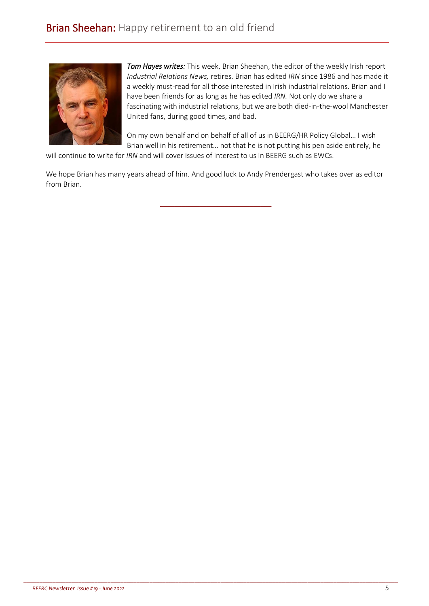

*Tom Hayes writes:* This week, Brian Sheehan, the editor of the weekly Irish report *Industrial Relations News,* retires. Brian has edited *IRN* since 1986 and has made it a weekly must-read for all those interested in Irish industrial relations. Brian and I have been friends for as long as he has edited *IRN.* Not only do we share a fascinating with industrial relations, but we are both died-in-the-wool Manchester United fans, during good times, and bad.

On my own behalf and on behalf of all of us in BEERG/HR Policy Global… I wish Brian well in his retirement… not that he is not putting his pen aside entirely, he

will continue to write for *IRN* and will cover issues of interest to us in BEERG such as EWCs.

We hope Brian has many years ahead of him. And good luck to Andy Prendergast who takes over as editor from Brian.

\_\_\_\_\_\_\_\_\_\_\_\_\_\_\_\_\_\_\_\_\_\_\_\_\_\_\_\_\_\_\_